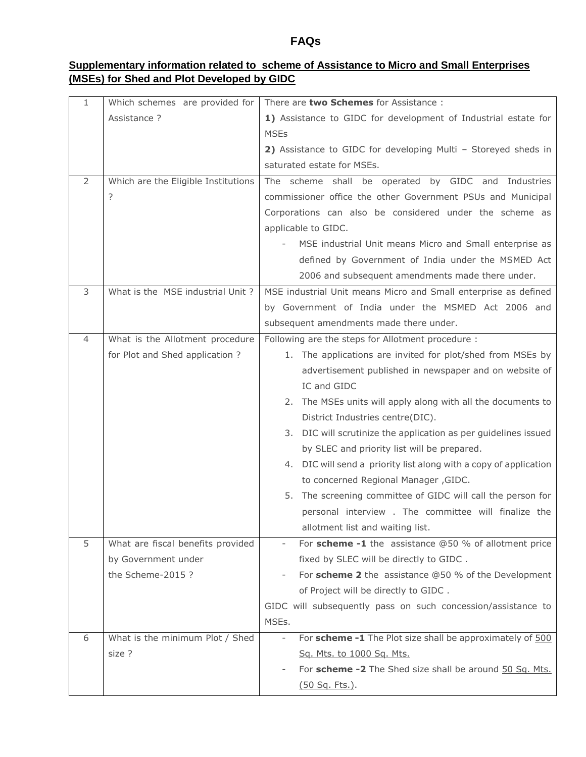## **FAQs**

## **Supplementary information related to scheme of Assistance to Micro and Small Enterprises (MSEs) for Shed and Plot Developed by GIDC**

| 1 | Which schemes are provided for      | There are two Schemes for Assistance:                                                 |  |  |  |
|---|-------------------------------------|---------------------------------------------------------------------------------------|--|--|--|
|   | Assistance ?                        | 1) Assistance to GIDC for development of Industrial estate for                        |  |  |  |
|   |                                     | <b>MSEs</b>                                                                           |  |  |  |
|   |                                     | 2) Assistance to GIDC for developing Multi - Storeyed sheds in                        |  |  |  |
|   |                                     | saturated estate for MSEs.                                                            |  |  |  |
| 2 | Which are the Eligible Institutions | The scheme shall be operated by GIDC and Industries                                   |  |  |  |
|   | ?                                   | commissioner office the other Government PSUs and Municipal                           |  |  |  |
|   |                                     | Corporations can also be considered under the scheme as                               |  |  |  |
|   |                                     | applicable to GIDC.                                                                   |  |  |  |
|   |                                     | MSE industrial Unit means Micro and Small enterprise as                               |  |  |  |
|   |                                     | defined by Government of India under the MSMED Act                                    |  |  |  |
|   |                                     | 2006 and subsequent amendments made there under.                                      |  |  |  |
| 3 | What is the MSE industrial Unit?    | MSE industrial Unit means Micro and Small enterprise as defined                       |  |  |  |
|   |                                     | by Government of India under the MSMED Act 2006 and                                   |  |  |  |
|   |                                     | subsequent amendments made there under.                                               |  |  |  |
| 4 | What is the Allotment procedure     | Following are the steps for Allotment procedure :                                     |  |  |  |
|   | for Plot and Shed application ?     | 1. The applications are invited for plot/shed from MSEs by                            |  |  |  |
|   |                                     | advertisement published in newspaper and on website of                                |  |  |  |
|   |                                     | IC and GIDC                                                                           |  |  |  |
|   |                                     | 2. The MSEs units will apply along with all the documents to                          |  |  |  |
|   |                                     | District Industries centre(DIC).                                                      |  |  |  |
|   |                                     | 3. DIC will scrutinize the application as per guidelines issued                       |  |  |  |
|   |                                     | by SLEC and priority list will be prepared.                                           |  |  |  |
|   |                                     | 4. DIC will send a priority list along with a copy of application                     |  |  |  |
|   |                                     | to concerned Regional Manager, GIDC.                                                  |  |  |  |
|   |                                     | 5. The screening committee of GIDC will call the person for                           |  |  |  |
|   |                                     | personal interview. The committee will finalize the                                   |  |  |  |
|   |                                     | allotment list and waiting list.                                                      |  |  |  |
| 5 | What are fiscal benefits provided   | For scheme $-1$ the assistance $@50$ % of allotment price<br>$\overline{\phantom{a}}$ |  |  |  |
|   | by Government under                 | fixed by SLEC will be directly to GIDC.                                               |  |  |  |
|   | the Scheme-2015?                    | For scheme 2 the assistance @50 % of the Development                                  |  |  |  |
|   |                                     | of Project will be directly to GIDC.                                                  |  |  |  |
|   |                                     | GIDC will subsequently pass on such concession/assistance to                          |  |  |  |
|   |                                     | MSEs.                                                                                 |  |  |  |
| 6 | What is the minimum Plot / Shed     | For scheme -1 The Plot size shall be approximately of 500                             |  |  |  |
|   | size ?                              | Sq. Mts. to 1000 Sq. Mts.                                                             |  |  |  |
|   |                                     | For scheme -2 The Shed size shall be around 50 Sq. Mts.                               |  |  |  |
|   |                                     | <u>(50 Sq. Fts.)</u> .                                                                |  |  |  |